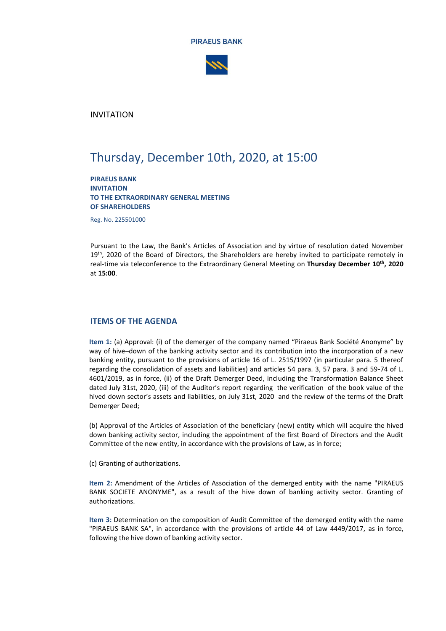



INVITATION

# Thursday, December 10th, 2020, at 15:00

**PIRAEUS BANK INVITATION TO THE EXTRAORDINARY GENERAL MEETING OF SHAREHOLDERS**

Reg. No. 225501000

Pursuant to the Law, the Bank's Articles of Association and by virtue of resolution dated November 19<sup>th</sup>, 2020 of the Board of Directors, the Shareholders are hereby invited to participate remotely in real-time via teleconference to the Extraordinary General Meeting on **Thursday December 10th, 2020** at **15:00**.

## **ITEMS OF THE AGENDA**

**Item 1:** (a) Approval: (i) of the demerger of the company named "Piraeus Bank Société Anonyme" by way of hive–down of the banking activity sector and its contribution into the incorporation of a new banking entity, pursuant to the provisions of article 16 of L. 2515/1997 (in particular para. 5 thereof regarding the consolidation of assets and liabilities) and articles 54 para. 3, 57 para. 3 and 59-74 of L. 4601/2019, as in force, (ii) of the Draft Demerger Deed, including the Transformation Balance Sheet dated July 31st, 2020, (iii) of the Auditor's report regarding the verification of the book value of the hived down sector's assets and liabilities, on July 31st, 2020 and the review of the terms of the Draft Demerger Deed;

(b) Approval of the Articles of Association of the beneficiary (new) entity which will acquire the hived down banking activity sector, including the appointment of the first Board of Directors and the Audit Committee of the new entity, in accordance with the provisions of Law, as in force;

(c) Granting of authorizations.

**Item 2:** Amendment of the Articles of Association of the demerged entity with the name "PIRAEUS BANK SOCIETE ANONYME", as a result of the hive down of banking activity sector. Granting of authorizations.

**Item 3:** Determination on the composition of Audit Committee of the demerged entity with the name "PIRAEUS BANK SA", in accordance with the provisions of article 44 of Law 4449/2017, as in force, following the hive down of banking activity sector.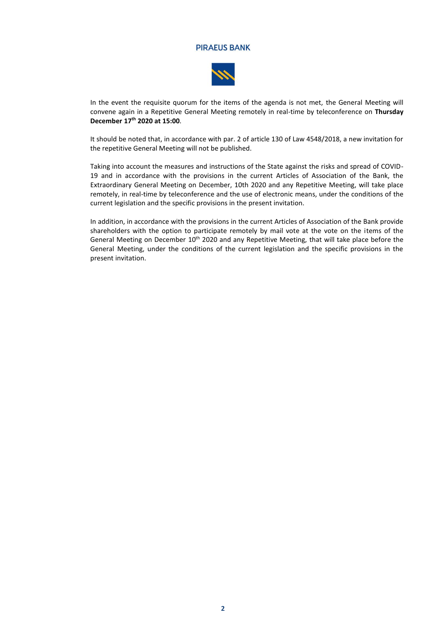

In the event the requisite quorum for the items of the agenda is not met, the General Meeting will convene again in a Repetitive General Meeting remotely in real-time by teleconference on **Thursday December 17th 2020 at 15:00**.

It should be noted that, in accordance with par. 2 of article 130 of Law 4548/2018, a new invitation for the repetitive General Meeting will not be published.

Taking into account the measures and instructions of the State against the risks and spread of COVID-19 and in accordance with the provisions in the current Articles of Association of the Bank, the Extraordinary General Meeting on December, 10th 2020 and any Repetitive Meeting, will take place remotely, in real-time by teleconference and the use of electronic means, under the conditions of the current legislation and the specific provisions in the present invitation.

In addition, in accordance with the provisions in the current Articles of Association of the Bank provide shareholders with the option to participate remotely by mail vote at the vote on the items of the General Meeting on December 10<sup>th</sup> 2020 and any Repetitive Meeting, that will take place before the General Meeting, under the conditions of the current legislation and the specific provisions in the present invitation.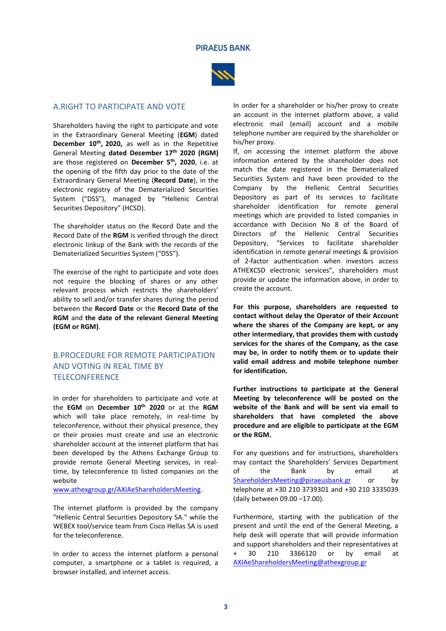

## A.RIGHT TO PARTICIPATE AND VOTE

Shareholders having the right to participate and vote in the Extraordinary General Meeting (**EGM**) dated **December 10th , 2020,** as well as in the Repetitive General Meeting **dated December 17th 2020 (RGM)** are those registered on **December 5 th, 2020**, i.e. at the opening of the fifth day prior to the date of the Extraordinary General Meeting (**Record Date**), in the electronic registry of the Dematerialized Securities System ("DSS"), managed by "Hellenic Central Securities Depository" (HCSD).

The shareholder status on the Record Date and the Record Date of the **RGM** is verified through the direct electronic linkup of the Bank with the records of the Dematerialized Securities System ("DSS").

The exercise of the right to participate and vote does not require the blocking of shares or any other relevant process which restricts the shareholders' ability to sell and/or transfer shares during the period between the **Record Date** or the **Record Date of the RGM** and **the date of the relevant General Meeting (EGM or RGM)**.

# B.PROCEDURE FOR REMOTE PARTICIPATION AND VOTING IN REAL TIME BY **TELECONFERENCE**

In order for shareholders to participate and vote at the **EGM** on **December 10th 2020** or at the **RGM** which will take place remotely, in real-time by teleconference, without their physical presence, they or their proxies must create and use an electronic shareholder account at the internet platform that has been developed by the Athens Exchange Group to provide remote General Meeting services, in realtime, by teleconference to listed companies on the website

[www.athexgroup.gr/AXIAeShareholdersMeeting.](http://www.athexgroup.gr/AXIAeShareholdersMeeting)

The internet platform is provided by the company "Hellenic Central Securities Depository SA." while the WEBEX tool/service team from Cisco Hellas SA is used for the teleconference.

In order to access the internet platform a personal computer, a smartphone or a tablet is required, a browser installed, and internet access.

In order for a shareholder or his/her proxy to create an account in the internet platform above, a valid electronic mail (email) account and a mobile telephone number are required by the shareholder or his/her proxy.

If, on accessing the internet platform the above information entered by the shareholder does not match the date registered in the Dematerialized Securities System and have been provided to the Company by the Hellenic Central Securities Depository as part of its services to facilitate shareholder identification for remote general meetings which are provided to listed companies in accordance with Decision No 8 of the Board of Directors of the Hellenic Central Securities Depository, "Services to facilitate shareholder identification in remote general meetings & provision of 2-factor authentication when investors access ATHEXCSD electronic services", shareholders must provide or update the information above, in order to create the account.

**For this purpose, shareholders are requested to contact without delay the Operator of their Account where the shares of the Company are kept, or any other intermediary, that provides them with custody services for the shares of the Company, as the case may be, in order to notify them or to update their valid email address and mobile telephone number for identification.**

**Further instructions to participate at the General Meeting by teleconference will be posted on the website of the Bank and will be sent via email to shareholders that have completed the above procedure and are eligible to participate at the EGM or the RGM.**

For any questions and for instructions, shareholders may contact the Shareholders' Services Department of the Bank by email at [ShareholdersMeeting@piraeusbank.gr](mailto:sharesdept@piraeusbank.gr) or by telephone at +30 210 3739301 and +30 210 3335039 (daily between 09.00 –17.00).

Furthermore, starting with the publication of the present and until the end of the General Meeting, a help desk will operate that will provide information and support shareholders and their representatives at + 30 210 3366120 or by email at [AXIAeShareholdersMeeting@athexgroup.gr](mailto:AXIAeShareholdersMeeting@athexgroup.gr)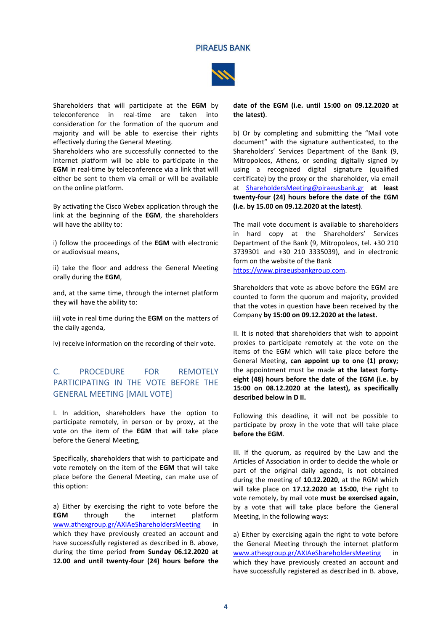

Shareholders that will participate at the **EGM** by teleconference in real-time are taken into consideration for the formation of the quorum and majority and will be able to exercise their rights effectively during the General Meeting.

Shareholders who are successfully connected to the internet platform will be able to participate in the **EGM** in real-time by teleconference via a link that will either be sent to them via email or will be available on the online platform.

By activating the Cisco Webex application through the link at the beginning of the **EGM**, the shareholders will have the ability to:

i) follow the proceedings of the **EGM** with electronic or audiovisual means,

ii) take the floor and address the General Meeting orally during the **EGM**,

and, at the same time, through the internet platform they will have the ability to:

iii) vote in real time during the **EGM** on the matters of the daily agenda,

iv) receive information on the recording of their vote.

# C. PROCEDURE FOR REMOTELY PARTICIPATING IN THE VOTE BEFORE THE GENERAL MEETING [MAIL VOTE]

I. In addition, shareholders have the option to participate remotely, in person or by proxy, at the vote on the item of the **EGM** that will take place before the General Meeting,

Specifically, shareholders that wish to participate and vote remotely on the item of the **EGM** that will take place before the General Meeting, can make use of this option:

a) Either by exercising the right to vote before the **EGM** through the internet platform [www.athexgroup.gr/AXIAeShareholdersMeeting](http://www.athexgroup.gr/AXIAeShareholdersMeeting) in which they have previously created an account and have successfully registered as described in B. above, during the time period **from Sunday 06.12.2020 at 12.00 and until twenty-four (24) hours before the**  **date of the EGM (i.e. until 15:00 on 09.12.2020 at the latest)**.

b) Or by completing and submitting the "Mail vote document" with the signature authenticated, to the Shareholders' Services Department of the Bank (9, Mitropoleos, Athens, or sending digitally signed by using a recognized digital signature (qualified certificate) by the proxy or the shareholder, via email at [ShareholdersMeeting@piraeusbank.gr](mailto:sharesdept@piraeusbank.gr) **at least twenty-four (24) hours before the date of the EGM (i.e. by 15.00 on 09.12.2020 at the latest)**.

The mail vote document is available to shareholders in hard copy at the Shareholders' Services Department of the Bank (9, Mitropoleos, tel. +30 210 3739301 and +30 210 3335039), and in electronic form on the website of the Bank [https://www.piraeusbankgroup.com.](https://www.piraeusbankgroup.com/)

Shareholders that vote as above before the EGM are counted to form the quorum and majority, provided that the votes in question have been received by the Company **by 15:00 on 09.12.2020 at the latest.** 

II. It is noted that shareholders that wish to appoint proxies to participate remotely at the vote on the items of the EGM which will take place before the General Meeting, **can appoint up to one (1) proxy;** the appointment must be made **at the latest fortyeight (48) hours before the date of the EGM (i.e. by 15:00 on 08.12.2020 at the latest), as specifically described below in D II.** 

Following this deadline, it will not be possible to participate by proxy in the vote that will take place **before the EGM**.

III. If the quorum, as required by the Law and the Articles of Association in order to decide the whole or part of the original daily agenda, is not obtained during the meeting of **10.12.2020**, at the RGM which will take place on **17.12.2020 at 15:00**, the right to vote remotely, by mail vote **must be exercised again**, by a vote that will take place before the General Meeting, in the following ways:

a) Either by exercising again the right to vote before the General Meeting through the internet platform [www.athexgroup.gr/AXIAeShareholdersMeeting](http://www.athexgroup.gr/AXIAeShareholdersMeeting) which they have previously created an account and have successfully registered as described in B. above,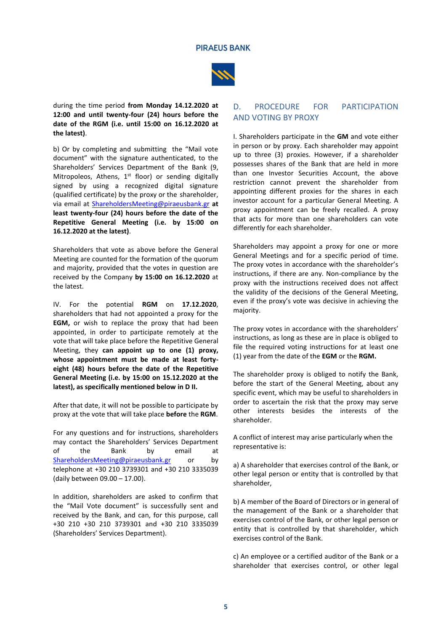

during the time period **from Monday 14.12.2020 at 12:00 and until twenty-four (24) hours before the date of the RGM (i.e. until 15:00 on 16.12.2020 at the latest)**.

b) Or by completing and submitting the "Mail vote document" with the signature authenticated, to the Shareholders' Services Department of the Bank (9, Mitropoleos, Athens,  $1<sup>st</sup>$  floor) or sending digitally signed by using a recognized digital signature (qualified certificate) by the proxy or the shareholder, via email at [ShareholdersMeeting@piraeusbank.gr](mailto:sharesdept@piraeusbank.gr) **at least twenty-four (24) hours before the date of the Repetitive General Meeting (i.e. by 15:00 on 16.12.2020 at the latest)**.

Shareholders that vote as above before the General Meeting are counted for the formation of the quorum and majority, provided that the votes in question are received by the Company **by 15:00 on 16.12.2020** at the latest.

IV. For the potential **RGM** on **17.12.2020**, shareholders that had not appointed a proxy for the **EGM,** or wish to replace the proxy that had been appointed, in order to participate remotely at the vote that will take place before the Repetitive General Meeting, they **can appoint up to one (1) proxy, whose appointment must be made at least fortyeight (48) hours before the date of the Repetitive General Meeting (i.e. by 15:00 on 15.12.2020 at the latest), as specifically mentioned below in D II.** 

After that date, it will not be possible to participate by proxy at the vote that will take place **before** the **RGM**.

For any questions and for instructions, shareholders may contact the Shareholders' Services Department of the Bank by email at [ShareholdersMeeting@piraeusbank.gr](mailto:sharesdept@piraeusbank.gr) or by telephone at +30 210 3739301 and +30 210 3335039 (daily between 09.00 – 17.00).

In addition, shareholders are asked to confirm that the "Mail Vote document" is successfully sent and received by the Bank, and can, for this purpose, call +30 210 +30 210 3739301 and +30 210 3335039 (Shareholders' Services Department).

## D. PROCEDURE FOR PARTICIPATION AND VOTING BY PROXY

I. Shareholders participate in the **GM** and vote either in person or by proxy. Each shareholder may appoint up to three (3) proxies. However, if a shareholder possesses shares of the Bank that are held in more than one Investor Securities Account, the above restriction cannot prevent the shareholder from appointing different proxies for the shares in each investor account for a particular General Meeting. A proxy appointment can be freely recalled. A proxy that acts for more than one shareholders can vote differently for each shareholder.

Shareholders may appoint a proxy for one or more General Meetings and for a specific period of time. The proxy votes in accordance with the shareholder's instructions, if there are any. Non-compliance by the proxy with the instructions received does not affect the validity of the decisions of the General Meeting, even if the proxy's vote was decisive in achieving the majority.

The proxy votes in accordance with the shareholders' instructions, as long as these are in place is obliged to file the required voting instructions for at least one (1) year from the date of the **EGM** or the **RGM.**

The shareholder proxy is obliged to notify the Bank, before the start of the General Meeting, about any specific event, which may be useful to shareholders in order to ascertain the risk that the proxy may serve other interests besides the interests of the shareholder.

A conflict of interest may arise particularly when the representative is:

a) A shareholder that exercises control of the Bank, or other legal person or entity that is controlled by that shareholder,

b) A member of the Board of Directors or in general of the management of the Bank or a shareholder that exercises control of the Bank, or other legal person or entity that is controlled by that shareholder, which exercises control of the Bank.

c) An employee or a certified auditor of the Bank or a shareholder that exercises control, or other legal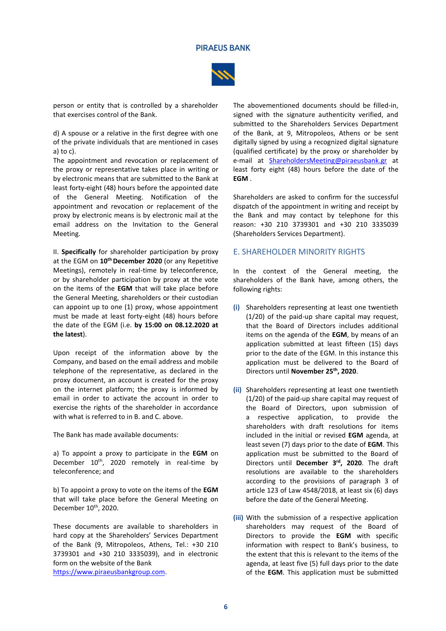

person or entity that is controlled by a shareholder that exercises control of the Bank.

d) A spouse or a relative in the first degree with one of the private individuals that are mentioned in cases a) to c).

The appointment and revocation or replacement of the proxy or representative takes place in writing or by electronic means that are submitted to the Bank at least forty-eight (48) hours before the appointed date of the General Meeting. Notification of the appointment and revocation or replacement of the proxy by electronic means is by electronic mail at the email address on the Invitation to the General Meeting.

II. **Specifically** for shareholder participation by proxy at the EGM on **10th December 2020** (or any Repetitive Meetings), remotely in real-time by teleconference, or by shareholder participation by proxy at the vote on the items of the **EGM** that will take place before the General Meeting, shareholders or their custodian can appoint up to one (1) proxy, whose appointment must be made at least forty-eight (48) hours before the date of the EGM (i.e. **by 15:00 on 08.12.2020 at the latest**).

Upon receipt of the information above by the Company, and based on the email address and mobile telephone of the representative, as declared in the proxy document, an account is created for the proxy on the internet platform; the proxy is informed by email in order to activate the account in order to exercise the rights of the shareholder in accordance with what is referred to in B. and C. above.

The Bank has made available documents:

a) To appoint a proxy to participate in the **EGM** on December 10<sup>th</sup>, 2020 remotely in real-time by teleconference; and

b) To appoint a proxy to vote on the items of the **EGM** that will take place before the General Meeting on December 10<sup>th</sup>, 2020.

These documents are available to shareholders in hard copy at the Shareholders' Services Department of the Bank (9, Mitropoleos, Athens, Tel.: +30 210 3739301 and +30 210 3335039), and in electronic form on the website of the Bank

[https://www.piraeusbankgroup.com.](https://www.piraeusbankgroup.com/)

The abovementioned documents should be filled-in, signed with the signature authenticity verified, and submitted to the Shareholders Services Department of the Bank, at 9, Mitropoleos, Athens or be sent digitally signed by using a recognized digital signature (qualified certificate) by the proxy or shareholder by e-mail at **[ShareholdersMeeting@piraeusbank.gr](mailto:sharesdept@piraeusbank.gr)** at least forty eight (48) hours before the date of the **EGM** .

Shareholders are asked to confirm for the successful dispatch of the appointment in writing and receipt by the Bank and may contact by telephone for this reason: +30 210 3739301 and +30 210 3335039 (Shareholders Services Department).

### E. SHAREHOLDER MINORITY RIGHTS

In the context of the General meeting, the shareholders of the Bank have, among others, the following rights:

- **(i)** Shareholders representing at least one twentieth (1/20) of the paid-up share capital may request, that the Board of Directors includes additional items on the agenda of the **ΕGM**, by means of an application submitted at least fifteen (15) days prior to the date of the EGM. In this instance this application must be delivered to the Board of Directors until **November 25th , 2020**.
- **(ii)** Shareholders representing at least one twentieth (1/20) of the paid-up share capital may request of the Board of Directors, upon submission of a respective application, to provide the shareholders with draft resolutions for items included in the initial or revised **ΕGM** agenda, at least seven (7) days prior to the date of **EGM**. This application must be submitted to the Board of Directors until **December 3 rd, 2020**. The draft resolutions are available to the shareholders according to the provisions of paragraph 3 of article 123 of Law 4548/2018, at least six (6) days before the date of the General Meeting.
- **(iii)** With the submission of a respective application shareholders may request of the Board of Directors to provide the **ΕGM** with specific information with respect to Bank's business, to the extent that this is relevant to the items of the agenda, at least five (5) full days prior to the date of the **EGM**. This application must be submitted